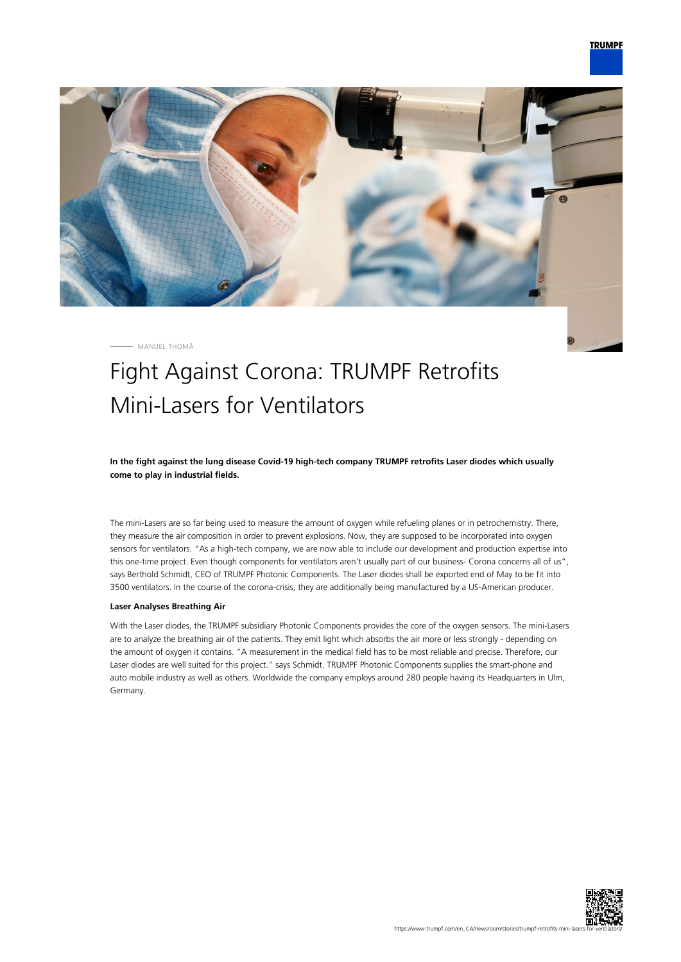

MANUEL THOMÄ

## Fight Against Corona: TRUMPF Retrofits Mini-Lasers for Ventilators

**In the fight against the lung disease Covid-19 high-tech company TRUMPF retrofits Laser diodes which usually come to play in industrial fields.**

The mini-Lasers are so far being used to measure the amount of oxygen while refueling planes or in petrochemistry. There, they measure the air composition in order to prevent explosions. Now, they are supposed to be incorporated into oxygen sensors for ventilators. "As a high-tech company, we are now able to include our development and production expertise into this one-time project. Even though components for ventilators aren't usually part of our business- Corona concerns all of us", says Berthold Schmidt, CEO of TRUMPF Photonic Components. The Laser diodes shall be exported end of May to be fit into 3500 ventilators. In the course of the corona-crisis, they are additionally being manufactured by a US-American producer.

## **Laser Analyses Breathing Air**

With the Laser diodes, the TRUMPF subsidiary Photonic Components provides the core of the oxygen sensors. The mini-Lasers are to analyze the breathing air of the patients. They emit light which absorbs the air more or less strongly - depending on the amount of oxygen it contains. "A measurement in the medical field has to be most reliable and precise. Therefore, our Laser diodes are well suited for this project." says Schmidt. TRUMPF Photonic Components supplies the smart-phone and auto mobile industry as well as others. Worldwide the company employs around 280 people having its Headquarters in Ulm, Germany.